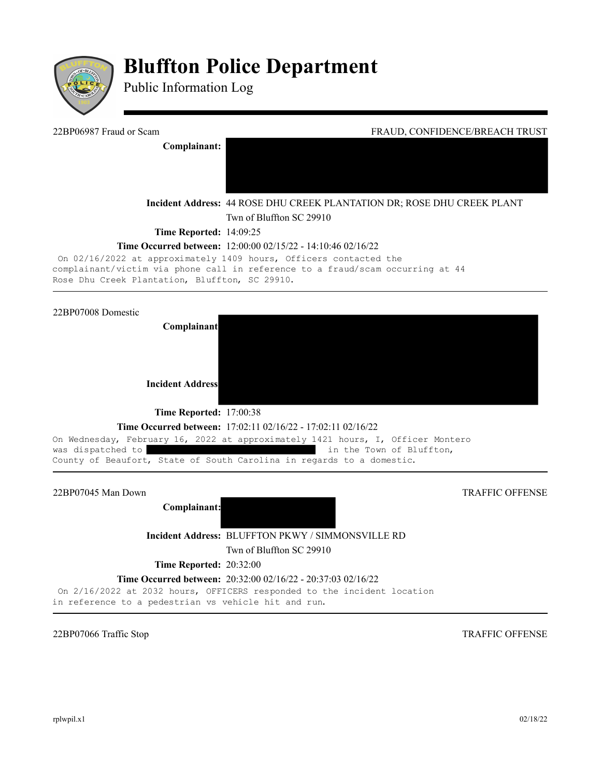

## **Bluffton Police Department**

Public Information Log



**Time Reported:** 14:09:25

**Time Occurred between:** 12:00:00 02/15/22 - 14:10:46 02/16/22

On 02/16/2022 at approximately 1409 hours, Officers contacted the complainant/victim via phone call in reference to a fraud/scam occurring at 44 Rose Dhu Creek Plantation, Bluffton, SC 29910.

22BP07008 Domestic



**Time Occurred between:** 17:02:11 02/16/22 - 17:02:11 02/16/22

On Wednesday, February 16, 2022 at approximately 1421 hours, I, Officer Montero was dispatched to in the Town of Bluffton, County of Beaufort, State of South Carolina in regards to a domestic.

22BP07045 Man Down TRAFFIC OFFENSE

**Complainant:**

**Incident Address:** BLUFFTON PKWY / SIMMONSVILLE RD

Twn of Bluffton SC 29910

**Time Reported:** 20:32:00

**Time Occurred between:** 20:32:00 02/16/22 - 20:37:03 02/16/22

On 2/16/2022 at 2032 hours, OFFICERS responded to the incident location

in reference to a pedestrian vs vehicle hit and run.

22BP07066 Traffic Stop TRAFFIC OFFENSE